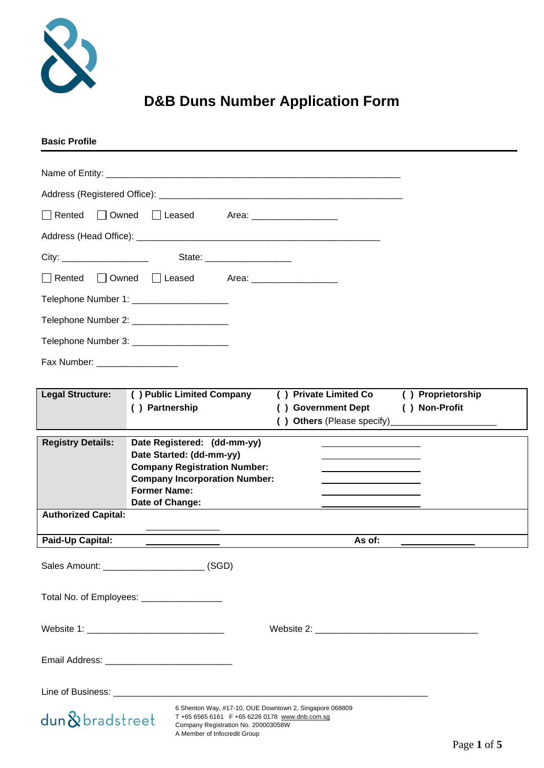

# **D&B Duns Number Application Form**

| <b>Basic Profile</b>                                                                                                                                                                               |                   |
|----------------------------------------------------------------------------------------------------------------------------------------------------------------------------------------------------|-------------------|
|                                                                                                                                                                                                    |                   |
|                                                                                                                                                                                                    |                   |
| $\Box$ Rented<br>□ Owned<br>Leased Area: _________________                                                                                                                                         |                   |
|                                                                                                                                                                                                    |                   |
| State: _______________________                                                                                                                                                                     |                   |
| □ Owned □ Leased Area: _________________<br>$\Box$ Rented                                                                                                                                          |                   |
| Telephone Number 1: ______________________                                                                                                                                                         |                   |
| Telephone Number 2: _______________________                                                                                                                                                        |                   |
| Telephone Number 3: _______________________                                                                                                                                                        |                   |
| Fax Number: ___________________                                                                                                                                                                    |                   |
| () Public Limited Company<br><b>Legal Structure:</b><br>() Private Limited Co                                                                                                                      | () Proprietorship |
| () Partnership<br>() Government Dept                                                                                                                                                               | () Non-Profit     |
|                                                                                                                                                                                                    |                   |
| <b>Registry Details:</b><br>Date Registered: (dd-mm-yy)<br>Date Started: (dd-mm-yy)                                                                                                                |                   |
| <b>Company Registration Number:</b><br><b>Company Incorporation Number:</b>                                                                                                                        |                   |
| <b>Former Name:</b><br>Date of Change:                                                                                                                                                             |                   |
| <b>Authorized Capital:</b>                                                                                                                                                                         |                   |
| <b>Paid-Up Capital:</b>                                                                                                                                                                            | As of:            |
| Sales Amount: ________________________________(SGD)                                                                                                                                                |                   |
|                                                                                                                                                                                                    |                   |
| Total No. of Employees: _________________                                                                                                                                                          |                   |
|                                                                                                                                                                                                    |                   |
|                                                                                                                                                                                                    |                   |
|                                                                                                                                                                                                    |                   |
|                                                                                                                                                                                                    |                   |
| 6 Shenton Way, #17-10, OUE Downtown 2, Singapore 068809<br>dun&bradstreet<br>T +65 6565 6161 F +65 6226 0178 www.dnb.com.sq<br>Company Registration No. 200003058W<br>A Member of Infocredit Group |                   |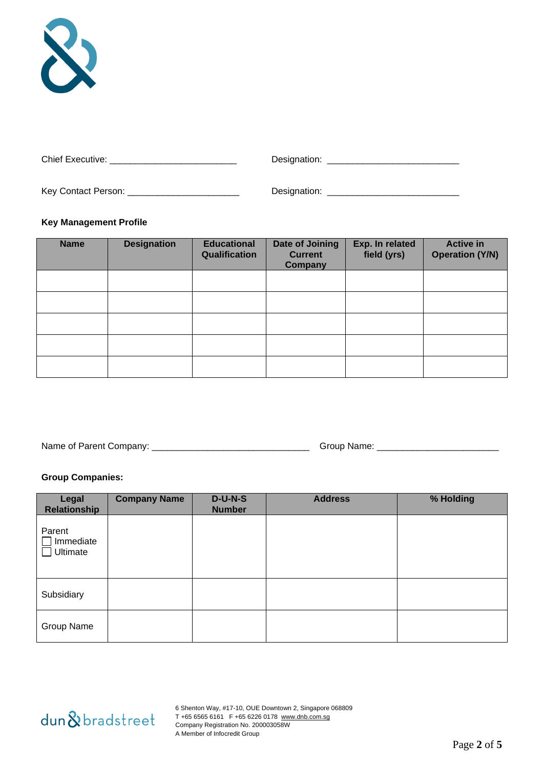

| Chief Executive:    | Designation: |
|---------------------|--------------|
| Key Contact Person: | Designation: |

### **Key Management Profile**

| <b>Name</b> | <b>Designation</b> | <b>Educational</b><br>Qualification | <b>Date of Joining</b><br><b>Current</b><br>Company | Exp. In related<br>field (yrs) | <b>Active in</b><br><b>Operation (Y/N)</b> |
|-------------|--------------------|-------------------------------------|-----------------------------------------------------|--------------------------------|--------------------------------------------|
|             |                    |                                     |                                                     |                                |                                            |
|             |                    |                                     |                                                     |                                |                                            |
|             |                    |                                     |                                                     |                                |                                            |
|             |                    |                                     |                                                     |                                |                                            |
|             |                    |                                     |                                                     |                                |                                            |

Name of Parent Company: \_\_\_\_\_\_\_\_\_\_\_\_\_\_\_\_\_\_\_\_\_\_\_\_\_\_\_\_\_\_\_ Group Name: \_\_\_\_\_\_\_\_\_\_\_\_\_\_\_\_\_\_\_\_\_\_\_\_

# **Group Companies:**

| Legal<br>Relationship           | <b>Company Name</b> | $D-U-N-S$<br><b>Number</b> | <b>Address</b> | % Holding |
|---------------------------------|---------------------|----------------------------|----------------|-----------|
| Parent<br>Immediate<br>Ultimate |                     |                            |                |           |
| Subsidiary                      |                     |                            |                |           |
| Group Name                      |                     |                            |                |           |



6 Shenton Way, #17-10, OUE Downtown 2, Singapore 068809 T +65 6565 6161 F +65 6226 0178 [www.dnb.com.sg](http://www.dnb.com.sg/) Company Registration No. 200003058W A Member of Infocredit Group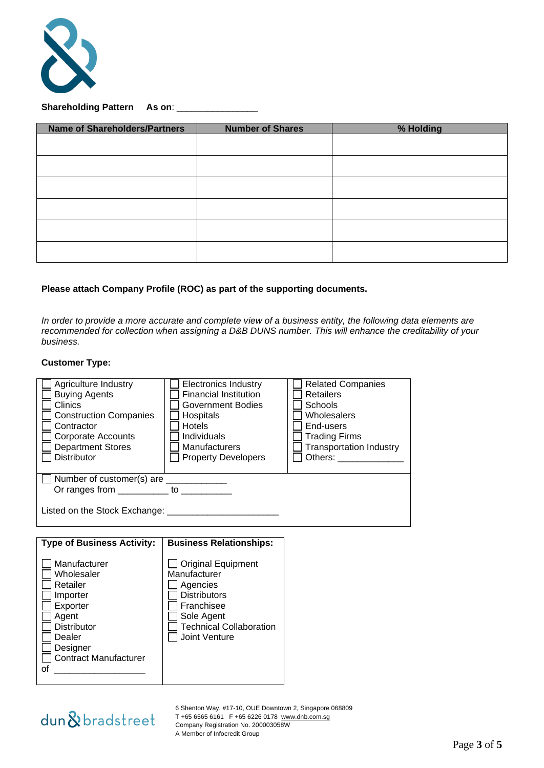

# **Shareholding Pattern As on**: \_\_\_\_\_\_\_\_\_\_\_\_\_\_\_\_

| <b>Name of Shareholders/Partners</b> | <b>Number of Shares</b> | % Holding |
|--------------------------------------|-------------------------|-----------|
|                                      |                         |           |
|                                      |                         |           |
|                                      |                         |           |
|                                      |                         |           |
|                                      |                         |           |
|                                      |                         |           |

#### **Please attach Company Profile (ROC) as part of the supporting documents.**

*In order to provide a more accurate and complete view of a business entity, the following data elements are*  recommended for collection when assigning a D&B DUNS number. This will enhance the creditability of your *business.*

#### **Customer Type:**

| Agriculture Industry<br><b>Buying Agents</b><br>Clinics<br><b>Construction Companies</b><br>Contractor<br>Corporate Accounts<br><b>Department Stores</b><br><b>Distributor</b> | <b>Electronics Industry</b><br><b>Financial Institution</b><br><b>Government Bodies</b><br>Hospitals<br><b>Hotels</b><br>Individuals<br><b>Manufacturers</b><br><b>Property Developers</b> | <b>Related Companies</b><br><b>Retailers</b><br><b>Schools</b><br>Wholesalers<br>End-users<br><b>Trading Firms</b><br><b>Transportation Industry</b><br>Others: <b>William Company</b> |
|--------------------------------------------------------------------------------------------------------------------------------------------------------------------------------|--------------------------------------------------------------------------------------------------------------------------------------------------------------------------------------------|----------------------------------------------------------------------------------------------------------------------------------------------------------------------------------------|
| Number of customer(s) are ___________                                                                                                                                          |                                                                                                                                                                                            |                                                                                                                                                                                        |
| Or ranges from __________ to __________                                                                                                                                        |                                                                                                                                                                                            |                                                                                                                                                                                        |
|                                                                                                                                                                                |                                                                                                                                                                                            |                                                                                                                                                                                        |
|                                                                                                                                                                                |                                                                                                                                                                                            |                                                                                                                                                                                        |
| <b>Type of Business Activity:</b>                                                                                                                                              | <b>Business Relationships:</b>                                                                                                                                                             |                                                                                                                                                                                        |

dun & bradstreet

of  $\_$ 

6 Shenton Way, #17-10, OUE Downtown 2, Singapore 068809 T +65 6565 6161 F +65 6226 0178 [www.dnb.com.sg](http://www.dnb.com.sg/) Company Registration No. 200003058W A Member of Infocredit Group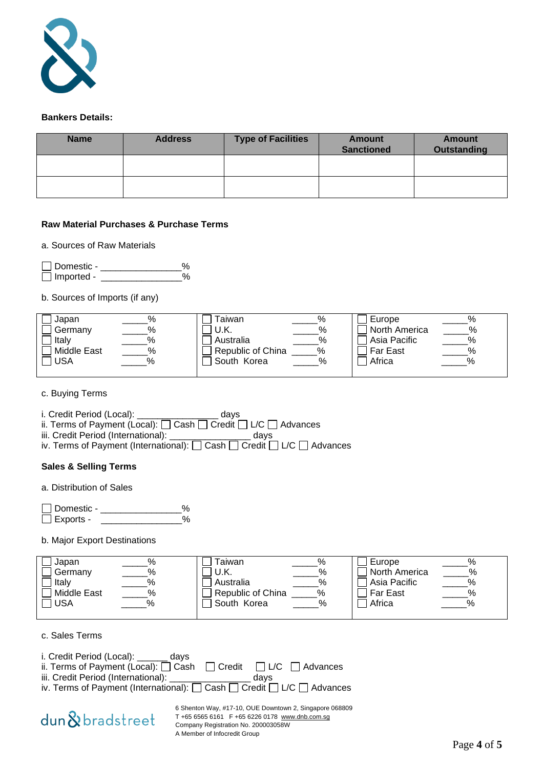

#### **Bankers Details:**

| <b>Name</b> | <b>Address</b> | <b>Type of Facilities</b> | Amount<br><b>Sanctioned</b> | <b>Amount</b><br><b>Outstanding</b> |
|-------------|----------------|---------------------------|-----------------------------|-------------------------------------|
|             |                |                           |                             |                                     |
|             |                |                           |                             |                                     |

# **Raw Material Purchases & Purchase Terms**

### a. Sources of Raw Materials

| □ Domestic -      |  |
|-------------------|--|
| $\Box$ Imported - |  |

b. Sources of Imports (if any)

| Japan              | % | Гаіwan                 | Europe          |      |
|--------------------|---|------------------------|-----------------|------|
| Germany            | % | U.K.<br>%              | North America   | $\%$ |
| Italv              |   | %<br>Australia         | Asia Pacific    | %    |
| <b>Middle East</b> | % | Republic of China<br>% | <b>Far East</b> | %    |
| <b>JSA</b>         |   | South Korea<br>%       | Africa          | %    |
|                    |   |                        |                 |      |

c. Buying Terms

i. Credit Period (Local): \_\_\_\_\_\_\_\_\_\_\_\_\_\_\_\_ days

ii. Terms of Payment (Local):  $\square$  Cash  $\square$  Credit  $\square$  L/C  $\square$  Advances

iii. Credit Period (International): \_\_\_\_\_\_\_\_\_\_\_\_\_\_\_\_ days

iv. Terms of Payment (International):  $\square$  Cash  $\square$  Credit  $\square$  L/C  $\square$  Advances

# **Sales & Selling Terms**

a. Distribution of Sales

\_\_<br>□ Domestic - \_\_\_\_\_\_\_\_\_\_\_\_\_\_\_\_\_%<br>□ Exports - $\Box$  Exports -  $\quad \_$ 

b. Major Export Destinations

| Japan              | $\%$ | $\%$<br>aiwan              | Europe          |      |
|--------------------|------|----------------------------|-----------------|------|
| Germany            | %    | $\%$<br>' U.K.             | North America   | %    |
| Italy              | %    | $\frac{0}{6}$<br>Australia | Asia Pacific    | $\%$ |
| <b>Middle East</b> | $\%$ | Republic of China<br>$\%$  | <b>Far East</b> | $\%$ |
| <b>USA</b>         |      | South Korea<br>%           | Africa          | %    |
|                    |      |                            |                 |      |

c. Sales Terms

| i. Credit Period (Local):<br>davs                                                  |      |  |
|------------------------------------------------------------------------------------|------|--|
| ii. Terms of Payment (Local): $\Box$ Cash $\Box$ Credit $\Box$ L/C $\Box$ Advances |      |  |
| iii. Credit Period (International): ____                                           | davs |  |
| iv. Terms of Payment (International): [ Cash [ Credit   L/C   Advances             |      |  |



6 Shenton Way, #17-10, OUE Downtown 2, Singapore 068809 T +65 6565 6161 F +65 6226 0178 [www.dnb.com.sg](http://www.dnb.com.sg/) Company Registration No. 200003058W A Member of Infocredit Group